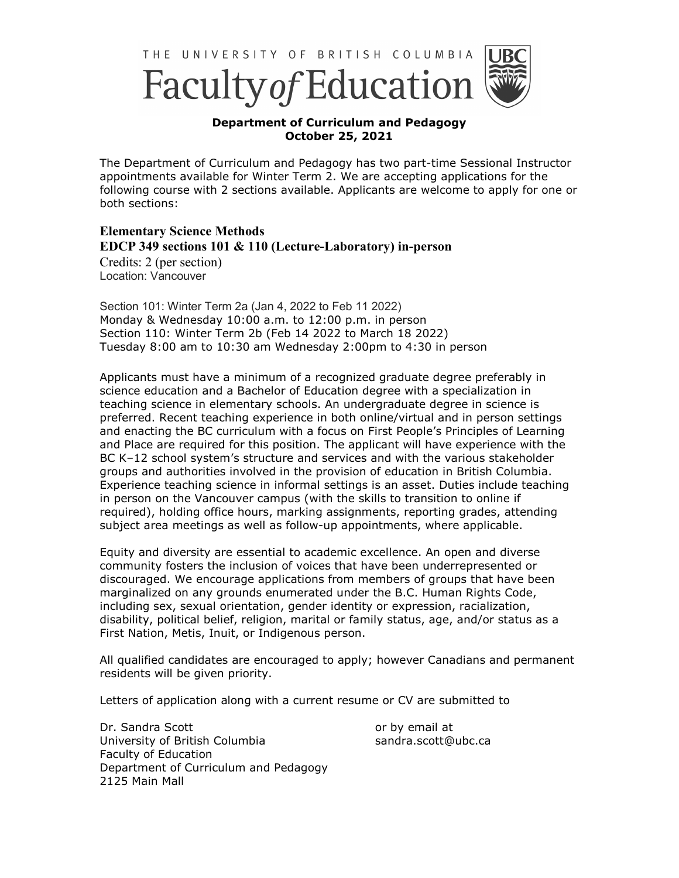



## **Department of Curriculum and Pedagogy October 25, 2021**

The Department of Curriculum and Pedagogy has two part-time Sessional Instructor appointments available for Winter Term 2. We are accepting applications for the following course with 2 sections available. Applicants are welcome to apply for one or both sections:

**Elementary Science Methods EDCP 349 sections 101 & 110 (Lecture-Laboratory) in-person** 

Credits: 2 (per section) Location: Vancouver

Section 101: Winter Term 2a (Jan 4, 2022 to Feb 11 2022) Monday & Wednesday 10:00 a.m. to 12:00 p.m. in person Section 110: Winter Term 2b (Feb 14 2022 to March 18 2022) Tuesday 8:00 am to 10:30 am Wednesday 2:00pm to 4:30 in person

Applicants must have a minimum of a recognized graduate degree preferably in science education and a Bachelor of Education degree with a specialization in teaching science in elementary schools. An undergraduate degree in science is preferred. Recent teaching experience in both online/virtual and in person settings and enacting the BC curriculum with a focus on First People's Principles of Learning and Place are required for this position. The applicant will have experience with the BC K–12 school system's structure and services and with the various stakeholder groups and authorities involved in the provision of education in British Columbia. Experience teaching science in informal settings is an asset. Duties include teaching in person on the Vancouver campus (with the skills to transition to online if required), holding office hours, marking assignments, reporting grades, attending subject area meetings as well as follow-up appointments, where applicable.

Equity and diversity are essential to academic excellence. An open and diverse community fosters the inclusion of voices that have been underrepresented or discouraged. We encourage applications from members of groups that have been marginalized on any grounds enumerated under the B.C. Human Rights Code, including sex, sexual orientation, gender identity or expression, racialization, disability, political belief, religion, marital or family status, age, and/or status as a First Nation, Metis, Inuit, or Indigenous person.

All qualified candidates are encouraged to apply; however Canadians and permanent residents will be given priority.

Letters of application along with a current resume or CV are submitted to

Dr. Sandra Scott University of British Columbia Faculty of Education Department of Curriculum and Pedagogy 2125 Main Mall

or by email at sandra.scott@ubc.ca